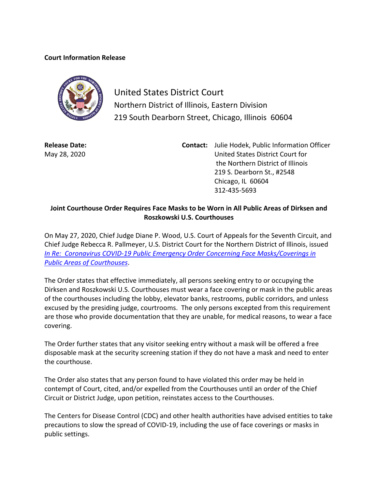## **Court Information Release**



United States District Court Northern District of Illinois, Eastern Division 219 South Dearborn Street, Chicago, Illinois 60604

**Release Date:** May 28, 2020

**Contact:** Julie Hodek, Public Information Officer United States District Court for the Northern District of Illinois 219 S. Dearborn St., #2548 Chicago, IL 60604 312-435-5693

## **Joint Courthouse Order Requires Face Masks to be Worn in All Public Areas of Dirksen and Roszkowski U.S. Courthouses**

On May 27, 2020, Chief Judge Diane P. Wood, U.S. Court of Appeals for the Seventh Circuit, and Chief Judge Rebecca R. Pallmeyer, U.S. District Court for the Northern District of Illinois, issued *In [Re: Coronavirus COVID-19 Public Emergency Order Concerning Face Masks/Coverings in](https://www.ilnd.uscourts.gov/_assets/_documents/_forms/_clerksoffice/rules/admin/pdf-orders/face%20covering%20order%20signed.pdf)  [Public Areas of Courthouses](https://www.ilnd.uscourts.gov/_assets/_documents/_forms/_clerksoffice/rules/admin/pdf-orders/face%20covering%20order%20signed.pdf)*.

The Order states that effective immediately, all persons seeking entry to or occupying the Dirksen and Roszkowski U.S. Courthouses must wear a face covering or mask in the public areas of the courthouses including the lobby, elevator banks, restrooms, public corridors, and unless excused by the presiding judge, courtrooms. The only persons excepted from this requirement are those who provide documentation that they are unable, for medical reasons, to wear a face covering.

The Order further states that any visitor seeking entry without a mask will be offered a free disposable mask at the security screening station if they do not have a mask and need to enter the courthouse.

The Order also states that any person found to have violated this order may be held in contempt of Court, cited, and/or expelled from the Courthouses until an order of the Chief Circuit or District Judge, upon petition, reinstates access to the Courthouses.

The Centers for Disease Control (CDC) and other health authorities have advised entities to take precautions to slow the spread of COVID-19, including the use of face coverings or masks in public settings.